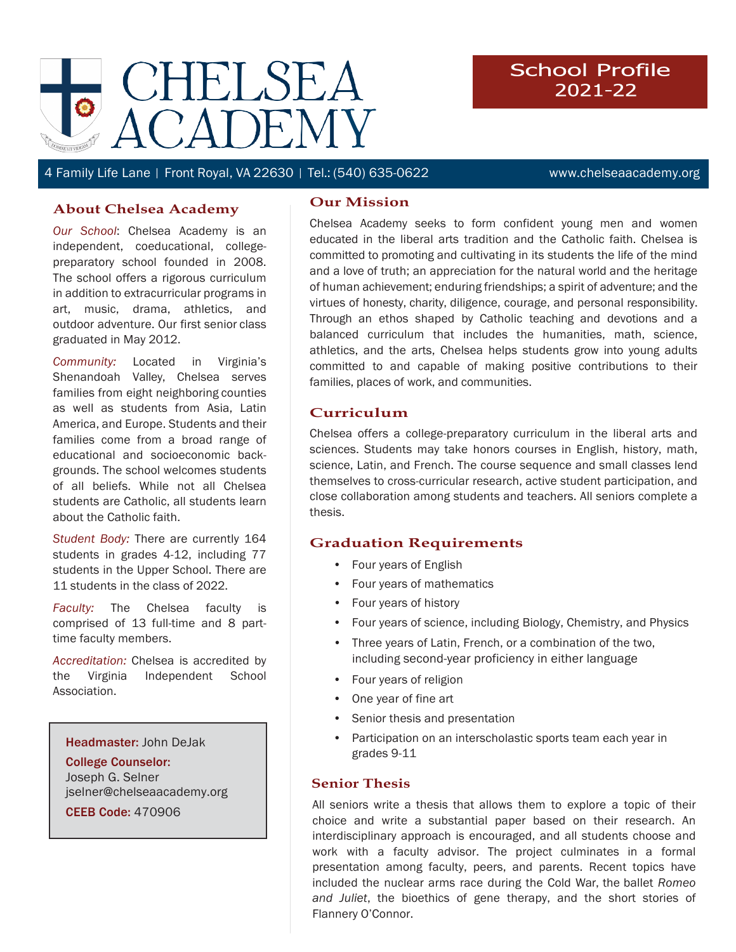

# **School Profile** 2021-22

# 4 Family Life Lane │ Front Royal, VA 22630 │ Tel.: (540) 635-0622 www.chelseaacademy.org

#### **About Chelsea Academy**

*Our School*: Chelsea Academy is an independent, coeducational, collegepreparatory school founded in 2008. The school offers a rigorous curriculum in addition to extracurricular programs in art, music, drama, athletics, and outdoor adventure. Our first senior class graduated in May 2012.

*Community:* Located in Virginia's Shenandoah Valley, Chelsea serves families from eight neighboring counties as well as students from Asia, Latin America, and Europe. Students and their families come from a broad range of educational and socioeconomic backgrounds. The school welcomes students of all beliefs. While not all Chelsea students are Catholic, all students learn about the Catholic faith.

*Student Body:* There are currently 164 students in grades 4-12, including 77 students in the Upper School. There are 11 students in the class of 2022.

*Faculty:* The Chelsea faculty is comprised of 13 full-time and 8 parttime faculty members.

*Accreditation:* Chelsea is accredited by the Virginia Independent School Association.

### Headmaster: John DeJak

College Counselor: Joseph G. Selner jselner@chelseaacademy.org

CEEB Code: 470906

## **Our Mission**

Chelsea Academy seeks to form confident young men and women educated in the liberal arts tradition and the Catholic faith. Chelsea is committed to promoting and cultivating in its students the life of the mind and a love of truth; an appreciation for the natural world and the heritage of human achievement; enduring friendships; a spirit of adventure; and the virtues of honesty, charity, diligence, courage, and personal responsibility. Through an ethos shaped by Catholic teaching and devotions and a balanced curriculum that includes the humanities, math, science, athletics, and the arts, Chelsea helps students grow into young adults committed to and capable of making positive contributions to their families, places of work, and communities.

## **Curriculum**

Chelsea offers a college-preparatory curriculum in the liberal arts and sciences. Students may take honors courses in English, history, math, science, Latin, and French. The course sequence and small classes lend themselves to cross-curricular research, active student participation, and close collaboration among students and teachers. All seniors complete a thesis.

## **Graduation Requirements**

- Four years of English
- Four years of mathematics
- Four years of history
- Four years of science, including Biology, Chemistry, and Physics
- Three years of Latin, French, or a combination of the two, including second-year proficiency in either language
- Four years of religion
- One year of fine art
- Senior thesis and presentation
- Participation on an interscholastic sports team each year in grades 9-11

#### **Senior Thesis**

All seniors write a thesis that allows them to explore a topic of their choice and write a substantial paper based on their research. An interdisciplinary approach is encouraged, and all students choose and work with a faculty advisor. The project culminates in a formal presentation among faculty, peers, and parents. Recent topics have included the nuclear arms race during the Cold War, the ballet *Romeo and Juliet*, the bioethics of gene therapy, and the short stories of Flannery O'Connor.